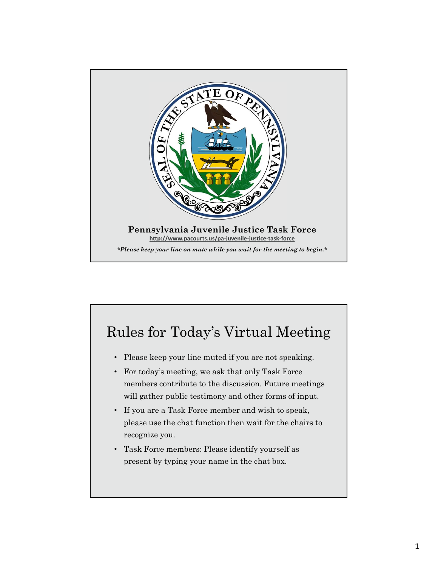

## Rules for Today's Virtual Meeting

- Please keep your line muted if you are not speaking.
- For today's meeting, we ask that only Task Force members contribute to the discussion. Future meetings will gather public testimony and other forms of input.
- If you are a Task Force member and wish to speak, please use the chat function then wait for the chairs to recognize you.
- Task Force members: Please identify yourself as present by typing your name in the chat box.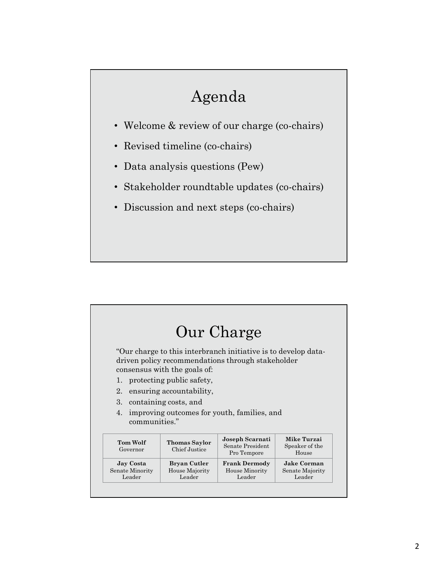# Agenda

- Welcome & review of our charge (co-chairs)
- Revised timeline (co-chairs)
- Data analysis questions (Pew)
- Stakeholder roundtable updates (co-chairs)
- Discussion and next steps (co-chairs)

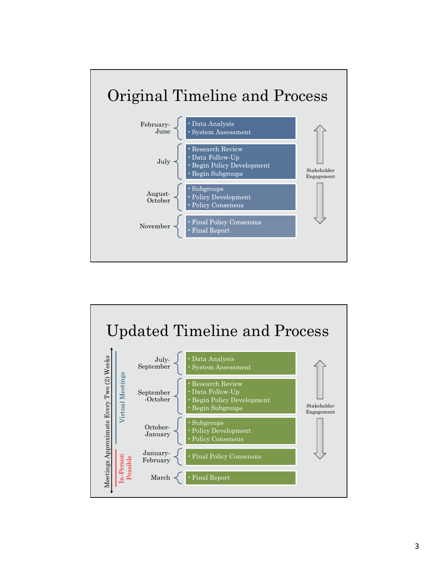

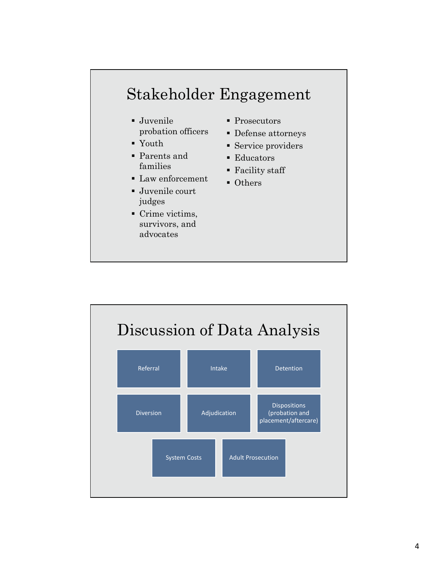# $\begin{minipage}{0.5\textwidth} \begin{tabular}{l} \bf Stakeholder Engagement \\ \bf \textcolor{red}{\ddots} \end{tabular} \end{minipage} \begin{minipage}{0.5\textwidth} \begin{tabular}{l} \bf \end{tabular} \end{minipage} \begin{minipage}{0.5\textwidth} \begin{tabular}{l} \bf \end{tabular} \end{minipage} \end{minipage} \caption{The \textit{Stake} and the \textit{Stake} and the \textit{Stake} and the \textit{Stake} is the \textit{Stake} and the \textit{Stake} is the \textit{Stake}. The \textit{Stake} is the \textit{Stake} and the$

- probation officers
- Youth
- Parents and
- **Law enforcement**
- Juvenile court judges
- Crime victims, survivors, and advocates
- Prosecutors
- Defense attorneys
- Service providers
- **Educators**
- families Facility staff
	- Others

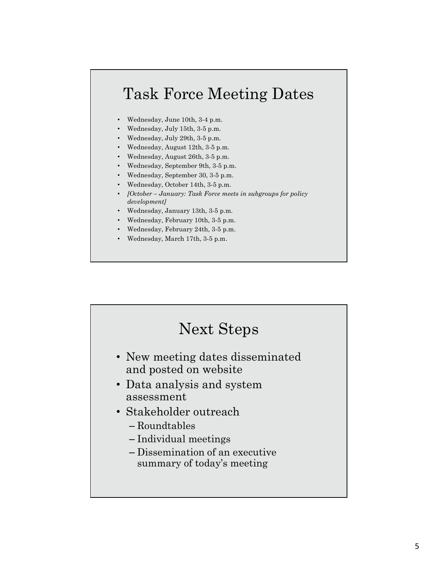# Task Force Meeting Dates **Task Force Meeting Dates**<br>• Wednesday, June 10th, 3-4 p.m.<br>• Wednesday, July 15th, 3-5 p.m.<br>• Wednesday, July 15th, 3-5 p.m.<br>• Wednesday, August 12th, 3-5 p.m.<br>• Wednesday, August 26th, 3-5 p.m.<br>• Wednesday, September 30

- Wednesday, June 10th, 3-4 p.m.
- Wednesday, July 15th, 3-5 p.m.
- Wednesday, July 29th, 3-5 p.m.
- Wednesday, August 12th, 3-5 p.m.
- Wednesday, August 26th, 3-5 p.m.
- Wednesday, September 9th, 3-5 p.m.
- Wednesday, September 30, 3-5 p.m.
- Wednesday, October 14th, 3-5 p.m.
- development]
- Wednesday, January 13th, 3-5 p.m.
- Wednesday, February 10th, 3-5 p.m.
- Wednesday, February 24th, 3-5 p.m.
- Wednesday, March 17th, 3-5 p.m.